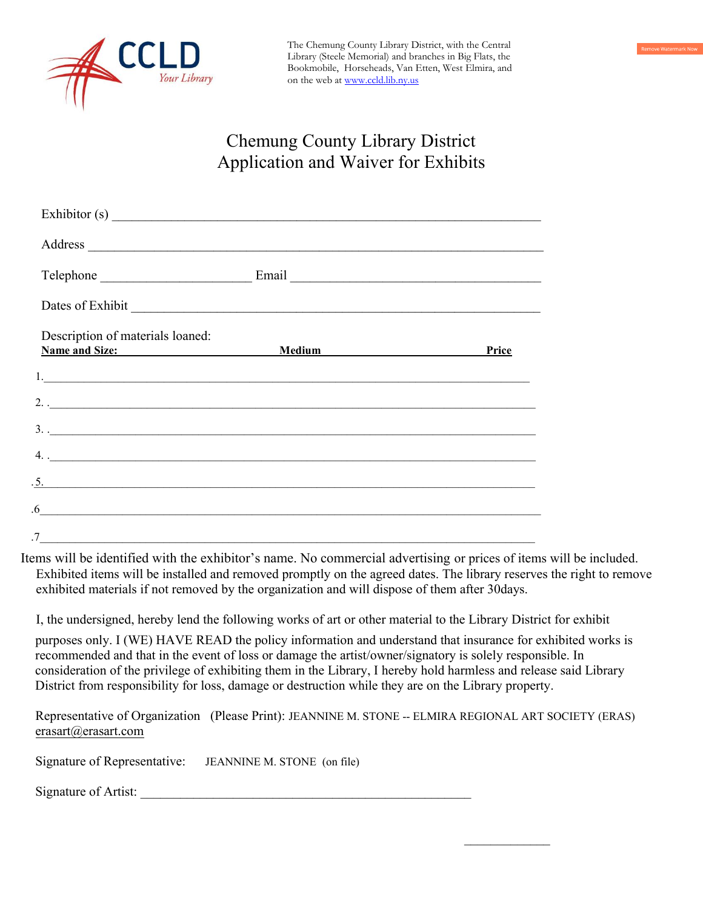

The Chemung County Library District, with the Central Library (Steele Memorial) and branches in Big Flats, the Bookmobile, Horseheads, Van Etten, West Elmira, and on the web at www.ccld.lib.ny.us

## Chemung County Library District Application and Waiver for Exhibits

| Dates of Exhibit extension of the state of Exhibit                                                                          |                                                                                                                                                                                                                                |              |
|-----------------------------------------------------------------------------------------------------------------------------|--------------------------------------------------------------------------------------------------------------------------------------------------------------------------------------------------------------------------------|--------------|
| Description of materials loaned:<br>Name and Size:                                                                          | Medium and the contract of the contract of the contract of the contract of the contract of the contract of the contract of the contract of the contract of the contract of the contract of the contract of the contract of the | <b>Price</b> |
| 1.                                                                                                                          |                                                                                                                                                                                                                                |              |
| $2. \frac{1}{2}$                                                                                                            |                                                                                                                                                                                                                                |              |
| $\frac{1}{2}$                                                                                                               |                                                                                                                                                                                                                                |              |
| $\frac{1}{2}$ .                                                                                                             |                                                                                                                                                                                                                                |              |
|                                                                                                                             |                                                                                                                                                                                                                                |              |
| .6<br><u> 1989 - Jan Samuel Barbara, martin a shekara tsara 1980 - An tsara 1980 - An tsara 1980 - An tsara 1980 - An t</u> |                                                                                                                                                                                                                                |              |
| .7                                                                                                                          |                                                                                                                                                                                                                                |              |

Items will be identified with the exhibitor's name. No commercial advertising or prices of items will be included. Exhibited items will be installed and removed promptly on the agreed dates. The library reserves the right to remove exhibited materials if not removed by the organization and will dispose of them after 30days.

I, the undersigned, hereby lend the following works of art or other material to the Library District for exhibit

purposes only. I (WE) HAVE READ the policy information and understand that insurance for exhibited works is recommended and that in the event of loss or damage the artist/owner/signatory is solely responsible. In consideration of the privilege of exhibiting them in the Library, I hereby hold harmless and release said Library District from responsibility for loss, damage or destruction while they are on the Library property.

Representative of Organization (Please Print): JEANNINE M. STONE -- ELMIRA REGIONAL ART SOCIETY (ERAS) erasart@erasart.com

 $\mathcal{L}=\mathcal{L}$ 

Signature of Representative: JEANNINE M. STONE (on file)

Signature of Artist: